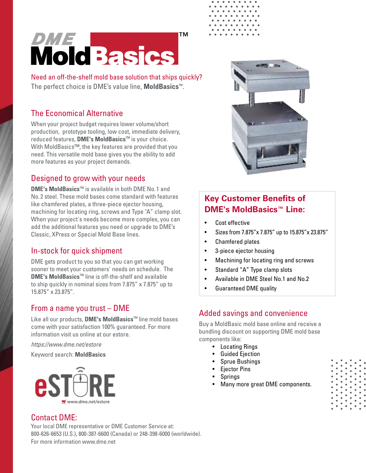# *DME*<br>Mold Basics

Need an off-the-shelf mold base solution that ships quickly? The perfect choice is DME's value line, **MoldBasics**™.

#### The Economical Alternative

When your project budget requires lower volume/short production, prototype tooling, low cost, immediate delivery, reduced features, **DME's MoldBasics**™ is your choice. With MoldBasics™, the key features are provided that you need. This versatile mold base gives you the ability to add more features as your project demands.

#### Designed to grow with your needs

**DME's MoldBasics**™ is available in both DME No. 1 and No.2 steel. These mold bases come standard with features like chamfered plates, a three-piece ejector housing, machining for locating ring, screws and Type "A" clamp slot. When your project's needs become more complex, you can add the additional features you need or upgrade to DME's Classic, XPress or Special Mold Base lines.

#### In-stock for quick shipment

DME gets product to you so that you can get working sooner to meet your customers' needs on schedule. The **DME's MoldBasics**™ line is off-the-shelf and available to ship quickly in nominal sizes from 7.875" x 7.875" up to 15.875" x 23.875".

#### From a name you trust – DME

Like all our products, **DME's MoldBasics**™ line mold bases come with your satisfaction 100% guaranteed. For more information visit us online at our estore.

*https://www.dme.net/estore*

#### Keyword search: **MoldBasics**





#### **Key Customer Benefits of DME's MoldBasics™ Line:**

- Cost effective
- Sizes from 7.875"x 7.875" up to 15.875"x 23.875"
- Chamfered plates
- 3-piece ejector housing
- Machining for locating ring and screws
- Standard "A" Type clamp slots
- Available in DME Steel No.1 and No.2
- Guaranteed DME quality

#### Added savings and convenience

Buy a MoldBasic mold base online and receive a bundling discount on supporting DME mold base components like:

- Locating Rings
- Guided Ejection
- Sprue Bushings
- Ejector Pins
- **Springs**
- Many more great DME components.



#### Contact DME:

Your local DME representative or DME Customer Service at: 800-626-6653 (U.S.), 800-387-6600 (Canada) or 248-398-6000 (worldwide). For more information www.dme.net

**TM**